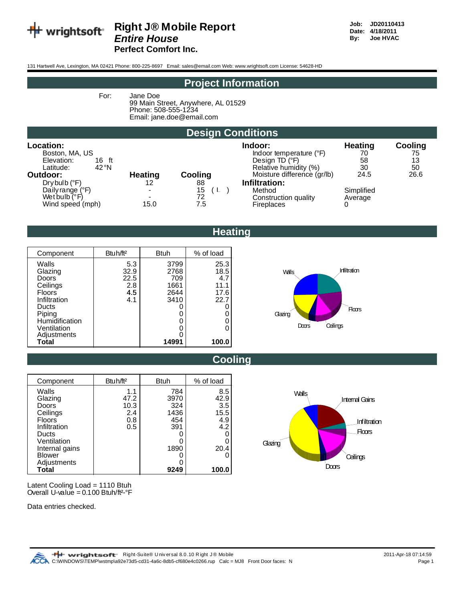

### **Right J® Mobile Report** Job: JD20110413<br> *Fntire House* Boxe: 4/18/2011  $Entire House$

**Perfect Comfort Inc.**

131 Hartwell Ave, Lexington, MA 02421 Phone: 800-225-8697 Email: sales@email.com Web: www.wrightsoft.com License: 54628-HD

#### **Project Information**

For: Jane Doe

99 Main Street, Anywhere, AL 01529 Phone: 508-555-1234 Email: jane.doe@email.com

#### **Design Conditions**

| Location:<br>Boston, MA, US<br>Elevation:<br>16 ft<br>42°N<br>Latitude:        |                                        |                              | Indoor:<br>Indoor temperature (°F)<br>Design TD (°F)<br>Relative humidity (%) | <b>Heating</b><br>70<br>58<br>30 | Cooling<br>75<br>13<br>50 |
|--------------------------------------------------------------------------------|----------------------------------------|------------------------------|-------------------------------------------------------------------------------|----------------------------------|---------------------------|
| Outdoor:                                                                       | <b>Heating</b>                         | Cooling                      | Moisture difference (gr/lb)                                                   | 24.5                             | 26.6                      |
| Drybulb (°F)<br>Daily range (°F)<br>Wet bulb $(^{\circ}F)$<br>Wind speed (mph) | 12<br>$\sim$<br>$\blacksquare$<br>15.0 | 88<br>15<br>6 L<br>72<br>7.5 | Infiltration:<br>Method<br>Construction quality<br><b>Fireplaces</b>          | Simplified<br>Average            |                           |

**Heating**

| Component      | Btuh/ft <sup>2</sup> | <b>Btuh</b> | % of load |
|----------------|----------------------|-------------|-----------|
| Walls          | 5.3                  | 3799        | 25.3      |
| Glazing        | 32.9                 | 2768        | 18.5      |
| Doors          | 22.5                 | 709         | 4.7       |
| Ceilings       | 2.8                  | 1661        | 11.1      |
| <b>Floors</b>  | 4.5                  | 2644        | 17.6      |
| Infiltration   | 4.1                  | 3410        | 22.7      |
| Ducts          |                      |             |           |
| Piping         |                      |             |           |
| Humidification |                      |             |           |
| Ventilation    |                      |             |           |
| Adjustments    |                      |             |           |
| Total          |                      | 14991       | 100.0     |





| Component      | Btuh/ft <sup>2</sup> | <b>Btuh</b> | % of load |
|----------------|----------------------|-------------|-----------|
| Walls          | 1.1                  | 784         | 8.5       |
| Glazing        | 47.2                 | 3970        | 42.9      |
| Doors          | 10.3                 | 324         | 3.5       |
| Ceilings       | 2.4                  | 1436        | 15.5      |
| <b>Floors</b>  | 0.8                  | 454         | 4.9       |
| Infiltration   | 0.5                  | 391         | 4.2       |
| Ducts          |                      |             |           |
| Ventilation    |                      |             |           |
| Internal gains |                      | 1890        | 20.4      |
| <b>Blower</b>  |                      |             |           |
| Adjustments    |                      |             |           |
| Total          |                      | 9249        | 100.0     |



Latent Cooling Load = 1110 Btuh Overall U-value =  $0.100$  Btuh/ft<sup>2-°</sup>F

Data entries checked.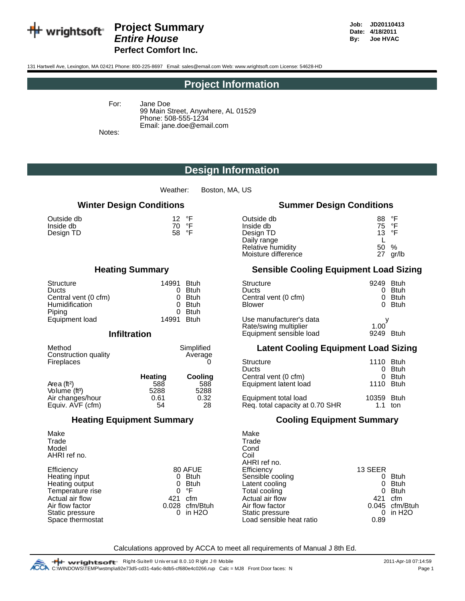

#### **Project Summary Data Community** Job: JD20110413<br> *Positive House Date:* 4/18/2011<br>
By: Joe HVAC *Entire House* **By: By: By: By: Perfect Comfort Inc.**

131 Hartwell Ave, Lexington, MA 02421 Phone: 800-225-8697 Email: sales@email.com Web: www.wrightsoft.com License: 54628-HD

#### **Project Information**

For: Jane Doe

99 Main Street, Anywhere, AL 01529 Phone: 508-555-1234 Email: jane.doe@email.com

Notes:

#### **Design Information**

Weather: Boston, MA, US

| Outside db | 12 $\degree$ F |
|------------|----------------|
| Inside db  | 70 °F          |
| Design TD  | 58 °F          |

| Structure             | 14991        | <b>Btuh</b> | Structure               | 9249 |
|-----------------------|--------------|-------------|-------------------------|------|
| Ducts                 |              | <b>Btuh</b> | Ducts                   |      |
| Central vent (0 cfm)  |              | <b>Btuh</b> | Central vent (0 cfm)    |      |
| <b>Humidification</b> |              | <b>Btuh</b> | <b>Blower</b>           |      |
| Pipina                | <sup>n</sup> | <b>Btuh</b> |                         |      |
| Equipment load        | 14991        | <b>Btuh</b> | Use manufacturer's data | .    |

#### **Infiltration**

| Method<br>Construction quality | Simplified<br>Average |                           | <b>Latent Cooling Equipment Load Sizi</b> |                   |
|--------------------------------|-----------------------|---------------------------|-------------------------------------------|-------------------|
| <b>Fireplaces</b>              |                       | Structure<br><b>Ducte</b> |                                           | 1110 Btuh<br>Dtuh |

|                           | <b>Heating</b> | Cooling | Central vent (0 cfm)            |            | <b>Btuh</b> |
|---------------------------|----------------|---------|---------------------------------|------------|-------------|
| Area (ft <sup>2</sup> )   | 588            | 588     | Equipment latent load           | 1110 Btuh  |             |
| Volume (ft <sup>3</sup> ) | 5288           | 5288    |                                 |            |             |
| Air changes/hour          | 0.61           | 0.32    | Equipment total load            | 10359 Btuh |             |
| Equiv. AVF (cfm)          | 54             | 28      | Req. total capacity at 0.70 SHR |            | ton         |

#### **Winter Design Conditions Summer Design Conditions**

| Outside db<br>°F<br>12<br>Inside db<br>°F<br>70<br>58 °F<br>Design TD | Outside db<br>Inside db<br>Design TD<br>Daily range<br>Relative humidity | °F<br>88<br>75 °F<br>13 $\degree$ F<br>50<br>% |
|-----------------------------------------------------------------------|--------------------------------------------------------------------------|------------------------------------------------|
|                                                                       | Moisture difference                                                      | 27<br>gr/lb                                    |

#### **Heating Summary Sensible Cooling Equipment Load Sizing**

| Structure<br>Ducts<br>Central vent (0 cfm)<br><b>Humidification</b> | 14991<br>0<br>0 | <b>Btuh</b><br><b>Btuh</b><br><b>Btuh</b><br><b>Btuh</b><br><b>Btuh</b> | Structure<br><b>Ducts</b><br>Central vent (0 cfm)<br><b>Blower</b>          | 9249 Btuh<br>- Btuh<br>0<br>- Btuh<br>0<br>0 Btuh |
|---------------------------------------------------------------------|-----------------|-------------------------------------------------------------------------|-----------------------------------------------------------------------------|---------------------------------------------------|
| Piping<br>Equipment load<br><b>Infiltration</b>                     | 0<br>14991      | <b>Btuh</b>                                                             | Use manufacturer's data<br>Rate/swing multiplier<br>Equipment sensible load | 1.00<br>9249 Btuh                                 |

#### **Latent Cooling Equipment Load Sizing**

|         | Average |                                 |            |             |
|---------|---------|---------------------------------|------------|-------------|
|         |         | Structure                       | 1110       | <b>Btuh</b> |
|         |         | <b>Ducts</b>                    | 0          | <b>Btuh</b> |
| Heating | Cooling | Central vent (0 cfm)            | 0          | <b>Btuh</b> |
| 588     | 588     | Equipment latent load           | 1110 Btuh  |             |
| 5288    | 5288    |                                 |            |             |
| 0.61    | 0.32    | Equipment total load            | 10359 Btuh |             |
| 54      | 28      | Req. total capacity at 0.70 SHR | 1.1        | ton         |
|         |         |                                 |            |             |

#### **Heating Equipment Summary Cooling Equipment Summary**

|             | Make                                                 |                                |                |
|-------------|------------------------------------------------------|--------------------------------|----------------|
|             | Trade                                                |                                |                |
|             | Cond                                                 |                                |                |
|             | Coil                                                 |                                |                |
|             | AHRI ref no.                                         |                                |                |
|             |                                                      | 13 SEER                        |                |
| <b>Btuh</b> |                                                      | 0                              | <b>Btuh</b>    |
| <b>Btuh</b> | Latent cooling                                       | 0                              | Btuh           |
| °F          | Total cooling                                        | 0                              | <b>Btuh</b>    |
| cfm         | Actual air flow                                      | 421                            | cfm            |
|             | Air flow factor                                      |                                | 0.045 cfm/Btuh |
| in H2O      | Static pressure                                      | 0                              | in H2O         |
|             | Load sensible heat ratio                             | 0.89                           |                |
|             | 80 AFUE<br>0<br>0<br>0<br>421<br>0.028 cfm/Btuh<br>0 | Efficiency<br>Sensible cooling |                |

Calculations approved by ACCA to meet all requirements of Manual J 8th Ed.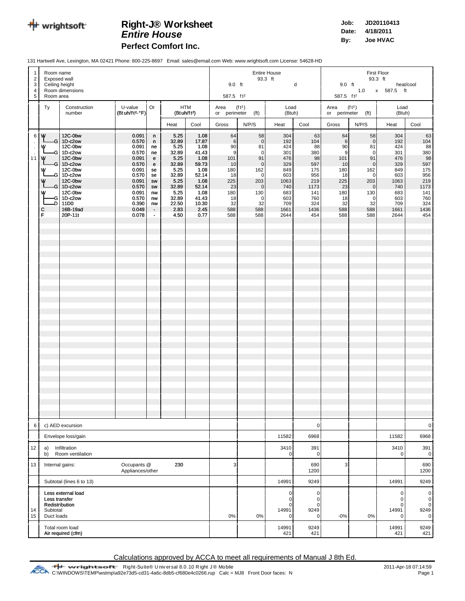

## **R Job: JD20110413 ight-J® Worksheet**

**Perfect Comfort Inc.**

**Date: 4/18/2011** *Entire House* **By: Joe HVAC**

131 Hartwell Ave, Lexington, MA 02421 Phone: 800-225-8697 Email: sales@email.com Web: www.wrightsoft.com License: 54628-HD

| $\overline{1}$<br>4              | Room name<br>$\overline{2}$<br>Exposed wall<br>3<br>Ceiling height<br>Room dimensions |                                                                                                                                                                               |                                                                                                                                     |                                                                                                                 |                                                                                                                                     |                                                                                                                                     | <b>Entire House</b><br>93.3 ft<br>d<br>9.0 ft<br>587.5 ft <sup>2</sup>                                            |                                                                                                                                                        |                                                                                                                  | First Floor<br>93.3 ft<br>9.0 ft<br>heat/cool<br>1.0 x 587.5 ft<br>587.5 ft <sup>2</sup>                     |                                                                                                                  |                                                                                                                                                                        |                                                                                                                  |                                                                                                              |
|----------------------------------|---------------------------------------------------------------------------------------|-------------------------------------------------------------------------------------------------------------------------------------------------------------------------------|-------------------------------------------------------------------------------------------------------------------------------------|-----------------------------------------------------------------------------------------------------------------|-------------------------------------------------------------------------------------------------------------------------------------|-------------------------------------------------------------------------------------------------------------------------------------|-------------------------------------------------------------------------------------------------------------------|--------------------------------------------------------------------------------------------------------------------------------------------------------|------------------------------------------------------------------------------------------------------------------|--------------------------------------------------------------------------------------------------------------|------------------------------------------------------------------------------------------------------------------|------------------------------------------------------------------------------------------------------------------------------------------------------------------------|------------------------------------------------------------------------------------------------------------------|--------------------------------------------------------------------------------------------------------------|
|                                  | 5<br>Room area<br>Construction<br>U-value<br>Or<br><b>HTM</b><br>Ty                   |                                                                                                                                                                               |                                                                                                                                     |                                                                                                                 |                                                                                                                                     |                                                                                                                                     |                                                                                                                   | (f t <sup>2</sup> )                                                                                                                                    | Load                                                                                                             |                                                                                                              | Area                                                                                                             | (f t <sup>2</sup> )                                                                                                                                                    | Load                                                                                                             |                                                                                                              |
|                                  |                                                                                       | number                                                                                                                                                                        | $(Btuh/ft2-oF)$                                                                                                                     |                                                                                                                 | (Bt uh/ft <sup>2</sup> )                                                                                                            |                                                                                                                                     |                                                                                                                   | or perimeter (ft)                                                                                                                                      | (Btuh)                                                                                                           |                                                                                                              |                                                                                                                  | or perimeter (ft)                                                                                                                                                      | (Btuh)                                                                                                           |                                                                                                              |
| $\frac{1}{2}$<br>$\bar{z}$<br>11 | 6 W<br>w<br>G<br>w<br>w<br>GI<br>w<br>w<br>G<br>-D l<br>с<br>Ė                        | 12C-0bw<br>-G   1D-c2ow<br>12C-0bw<br>1D-c2ow<br>12C-0bw<br>$G$ 1D-c2ow<br>12C-0bw<br>1D-c2ow<br>12C-0bw<br>$-G$ 1D-c2ow<br>12C-0bw<br>1D-c2ow<br>11D0<br>16B-19ad<br>20P-11t | 0.091<br>0.570<br>0.091<br>0.570<br>0.091<br>0.570<br>0.091<br>0.570<br>0.091<br>0.570<br>0.091<br>0.570<br>0.390<br>0.049<br>0.078 | n.<br>n.<br>ne<br>ne<br>e<br>e<br>se<br>se<br>SW<br>${\sf sw}$<br>nw<br>nw<br>nw<br>$\blacksquare$<br>$\bullet$ | Heat<br>5.25<br>32.89<br>5.25<br>32.89<br>5.25<br>32.89<br>5.25<br>32.89<br>5.25<br>32.89<br>5.25<br>32.89<br>22.50<br>2.83<br>4.50 | Cool<br>1.08<br>17.87<br>1.08<br>41.43<br>1.08<br>59.73<br>1.08<br>52.14<br>1.08<br>52.14<br>1.08<br>41.43<br>10.30<br>2.45<br>0.77 | Gross<br>64<br>- 61<br>90<br>$\mathsf{g}$<br>101<br>10<br>180<br>18<br>225<br>23<br>180<br>18<br>32<br>588<br>588 | N/P/S<br>58<br>$\overline{0}$<br>81<br>$\overline{0}$<br>91<br>$\overline{0}$<br>162<br>$\overline{0}$<br>203<br> 0 <br>130<br> 0 <br>32<br>588<br>588 | Heat<br>304<br>192<br>424<br>301<br>476<br>329<br>849<br>603<br>1063<br>740<br>683<br>603<br>709<br>1661<br>2644 | Cool<br>63<br>104<br>88<br>380<br>98<br>597<br>175<br>956<br>219<br>1173<br>141<br>760<br>324<br>1436<br>454 | Gross<br>64<br>6 <sup>1</sup><br>90<br>9<br>101<br>10<br>180<br>18<br>225<br>23<br>180<br>18<br>32<br>588<br>588 | N/P/S<br>58<br>$\overline{0}$<br>81<br>$\mathbf 0$<br>91<br>$\overline{0}$<br>162<br>$\mathbf 0$<br>203<br>$\overline{0}$<br>130<br>$\overline{0}$<br>32<br>588<br>588 | Heat<br>304<br>192<br>424<br>301<br>476<br>329<br>849<br>603<br>1063<br>740<br>683<br>603<br>709<br>1661<br>2644 | Cool<br>63<br>104<br>88<br>380<br>98<br>597<br>175<br>956<br>219<br>1173<br>141<br>760<br>324<br>1436<br>454 |
|                                  |                                                                                       |                                                                                                                                                                               |                                                                                                                                     |                                                                                                                 |                                                                                                                                     |                                                                                                                                     |                                                                                                                   |                                                                                                                                                        |                                                                                                                  |                                                                                                              |                                                                                                                  |                                                                                                                                                                        |                                                                                                                  |                                                                                                              |
| 6                                |                                                                                       | c) AED excursion                                                                                                                                                              |                                                                                                                                     |                                                                                                                 |                                                                                                                                     |                                                                                                                                     |                                                                                                                   |                                                                                                                                                        |                                                                                                                  | $\mathbf 0$                                                                                                  |                                                                                                                  |                                                                                                                                                                        |                                                                                                                  | $\mathbf 0$                                                                                                  |
|                                  |                                                                                       | Envelope loss/gain                                                                                                                                                            |                                                                                                                                     |                                                                                                                 |                                                                                                                                     |                                                                                                                                     |                                                                                                                   |                                                                                                                                                        | 11582                                                                                                            | 6968                                                                                                         |                                                                                                                  |                                                                                                                                                                        | 11582                                                                                                            | 6968                                                                                                         |
| 12                               | a)<br>b)                                                                              | Infiltration<br>Room ventilation                                                                                                                                              |                                                                                                                                     |                                                                                                                 |                                                                                                                                     |                                                                                                                                     |                                                                                                                   |                                                                                                                                                        | 3410<br>0                                                                                                        | 391<br>$\overline{0}$                                                                                        |                                                                                                                  |                                                                                                                                                                        | 3410<br>$\Omega$                                                                                                 | 391<br>$\pmb{0}$                                                                                             |
| 13                               |                                                                                       | Internal gains:                                                                                                                                                               | Occupants @<br>Appliances/other                                                                                                     |                                                                                                                 | 230                                                                                                                                 |                                                                                                                                     | 3                                                                                                                 |                                                                                                                                                        |                                                                                                                  | 690<br>1200                                                                                                  | 3                                                                                                                |                                                                                                                                                                        |                                                                                                                  | 690<br>1200                                                                                                  |
|                                  |                                                                                       | Subtotal (lines 6 to 13)                                                                                                                                                      |                                                                                                                                     |                                                                                                                 |                                                                                                                                     |                                                                                                                                     |                                                                                                                   |                                                                                                                                                        | 14991                                                                                                            | 9249                                                                                                         |                                                                                                                  |                                                                                                                                                                        | 14991                                                                                                            | 9249                                                                                                         |
| 14<br>15                         | Less transfer<br>Subtotal<br>Duct loads                                               | Less external load<br>Redistribution                                                                                                                                          |                                                                                                                                     |                                                                                                                 |                                                                                                                                     |                                                                                                                                     | 0%                                                                                                                | 0%                                                                                                                                                     | $\overline{0}$<br>0<br>0<br>14991<br>0                                                                           | $\pmb{0}$<br>$\overline{0}$<br>$\mathbf 0$<br>9249<br>0                                                      | $-0%$                                                                                                            | 0%                                                                                                                                                                     | 0<br>$\Omega$<br>0<br>14991<br>C                                                                                 | $\mathbf 0$<br>$\pmb{0}$<br>$\mathbf 0$<br>9249<br>$\mathbf 0$                                               |
|                                  |                                                                                       | Total room load<br>Air required (cfm)                                                                                                                                         |                                                                                                                                     |                                                                                                                 |                                                                                                                                     |                                                                                                                                     |                                                                                                                   |                                                                                                                                                        | 14991<br>421                                                                                                     | 9249<br>421                                                                                                  |                                                                                                                  |                                                                                                                                                                        | 14991<br>421                                                                                                     | 9249<br>421                                                                                                  |

Calculations approved by ACCA to meet all requirements of Manual J 8th Ed.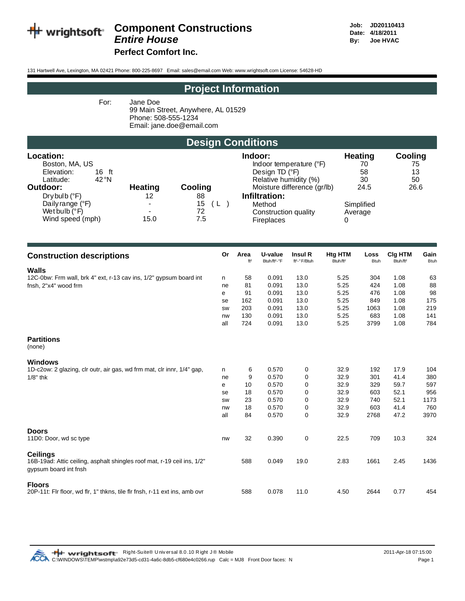

# **Component Constructions**<br>Entire House

**Perfect Comfort Inc.** 

131 Hartwell Ave, Lexington, MA 02421 Phone: 800-225-8697 Email: sales@email.com Web: www.wrightsoft.com License: 54628-HD

#### **Project Information**

For:

Jane Doe 99 Main Street, Anywhere, AL 01529 Phone: 508-555-1234 Email: jane.doe@email.com

## **Design Conditions**

| Location:                   |                |           | Indoor:                     | <b>Heating</b> | Cooling |
|-----------------------------|----------------|-----------|-----------------------------|----------------|---------|
| Boston, MA, US              |                |           | Indoor temperature (°F)     | 70             | 75      |
| Elevation:<br>16 ft         |                |           | Design TD $(°F)$            | 58             | 13      |
| $42^{\circ}$ N<br>Latitude: |                |           | Relative humidity (%)       | 30             | 50      |
| Outdoor:                    | <b>Heating</b> | Cooling   | Moisture difference (gr/lb) | 24.5           | 26.6    |
| $Drybulb$ ( $°F$ )          | 12             | 88        | Infiltration:               |                |         |
| Daily range (°F)            |                | 15<br>( L | Method                      | Simplified     |         |
| Wet bulb $(^{\circ}F)$      | $\blacksquare$ | 72        | Construction quality        | Average        |         |
| Wind speed (mph)            | 15.0           | 7.5       | <b>Fireplaces</b>           |                |         |

| <b>Construction descriptions</b>                                           | Or  | Area<br>ft <sup>2</sup> | U-value<br>Btuh/ft <sup>2</sup> -°F | Insul R<br>ft <sup>2</sup> -°F/Btuh | Htg HTM<br>Btuh/ft <sup>2</sup> | Loss<br><b>Btuh</b> | Clg HTM<br>Btuh/ft <sup>2</sup> | Gain<br><b>Btuh</b> |
|----------------------------------------------------------------------------|-----|-------------------------|-------------------------------------|-------------------------------------|---------------------------------|---------------------|---------------------------------|---------------------|
| <b>Walls</b>                                                               |     |                         |                                     |                                     |                                 |                     |                                 |                     |
| 12C-0bw: Frm wall, brk 4" ext, r-13 cav ins, 1/2" gypsum board int         | n   | 58                      | 0.091                               | 13.0                                | 5.25                            | 304                 | 1.08                            | 63                  |
| fnsh, 2"x4" wood frm                                                       | ne  | 81                      | 0.091                               | 13.0                                | 5.25                            | 424                 | 1.08                            | 88                  |
|                                                                            | e   | 91                      | 0.091                               | 13.0                                | 5.25                            | 476                 | 1.08                            | 98                  |
|                                                                            | se  | 162                     | 0.091                               | 13.0                                | 5.25                            | 849                 | 1.08                            | 175                 |
|                                                                            | SW  | 203                     | 0.091                               | 13.0                                | 5.25                            | 1063                | 1.08                            | 219                 |
|                                                                            | nw  | 130                     | 0.091                               | 13.0                                | 5.25                            | 683                 | 1.08                            | 141                 |
|                                                                            | all | 724                     | 0.091                               | 13.0                                | 5.25                            | 3799                | 1.08                            | 784                 |
| <b>Partitions</b><br>(none)                                                |     |                         |                                     |                                     |                                 |                     |                                 |                     |
| <b>Windows</b>                                                             |     |                         |                                     |                                     |                                 |                     |                                 |                     |
| 1D-c2ow: 2 glazing, clr outr, air gas, wd frm mat, clr innr, 1/4" gap,     | n   | 6                       | 0.570                               | 0                                   | 32.9                            | 192                 | 17.9                            | 104                 |
| $1/8"$ thk                                                                 | ne  | 9                       | 0.570                               | 0                                   | 32.9                            | 301                 | 41.4                            | 380                 |
|                                                                            | е   | 10                      | 0.570                               | 0                                   | 32.9                            | 329                 | 59.7                            | 597                 |
|                                                                            | se  | 18                      | 0.570                               | 0                                   | 32.9                            | 603                 | 52.1                            | 956                 |
|                                                                            | SW  | 23                      | 0.570                               | 0                                   | 32.9                            | 740                 | 52.1                            | 1173                |
|                                                                            | nw  | 18                      | 0.570                               | 0                                   | 32.9                            | 603                 | 41.4                            | 760                 |
|                                                                            | all | 84                      | 0.570                               | 0                                   | 32.9                            | 2768                | 47.2                            | 3970                |
| <b>Doors</b>                                                               |     |                         |                                     |                                     |                                 |                     |                                 |                     |
| 11D0: Door, wd sc type                                                     | nw  | 32                      | 0.390                               | 0                                   | 22.5                            | 709                 | 10.3                            | 324                 |
| <b>Ceilings</b>                                                            |     |                         |                                     |                                     |                                 |                     |                                 |                     |
| 16B-19ad: Attic ceiling, asphalt shingles roof mat, r-19 ceil ins, 1/2"    |     | 588                     | 0.049                               | 19.0                                | 2.83                            | 1661                | 2.45                            | 1436                |
| gypsum board int fnsh                                                      |     |                         |                                     |                                     |                                 |                     |                                 |                     |
| <b>Floors</b>                                                              |     |                         |                                     |                                     |                                 |                     |                                 |                     |
| 20P-11t: Fir floor, wd fir, 1" thkns, tile fir fnsh, r-11 ext ins, amb ovr |     | 588                     | 0.078                               | 11.0                                | 4.50                            | 2644                | 0.77                            | 454                 |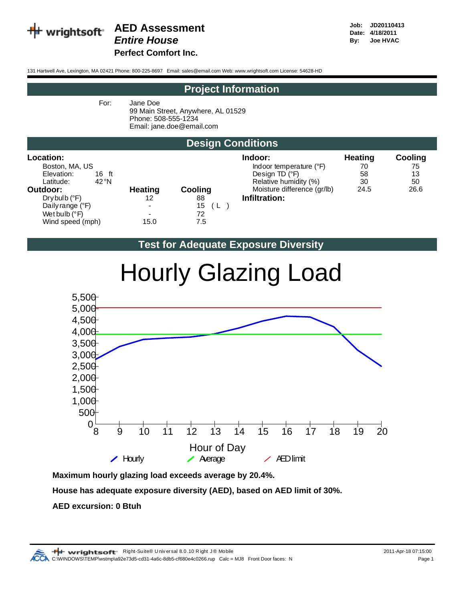

## **AED Assessment Date: Job:** JD20110413

**Perfect Comfort Inc.**

131 Hartwell Ave, Lexington, MA 02421 Phone: 800-225-8697 Email: sales@email.com Web: www.wrightsoft.com License: 54628-HD

#### **Project Information**

For: Jane Doe

99 Main Street, Anywhere, AL 01529 Phone: 508-555-1234 Email: jane.doe@email.com

#### **Design Conditions**

| <b>Location:</b><br>Boston, MA, US<br>Elevation:<br>16 ft<br>$42^{\circ}$ N<br>Latitude:<br>Outdoor:<br>Drybulb (°F)<br>Daily range (°F)<br>Wet bulb $(^{\circ}F)$ | <b>Heating</b><br>12<br>$\blacksquare$<br>$\blacksquare$ | Cooling<br>88<br>15<br>( L<br>72 | Indoor:<br>Indoor temperature (°F)<br>Design TD $(°F)$<br>Relative humidity (%)<br>Moisture difference (gr/lb)<br>Infiltration: | <b>Heating</b><br>70<br>58<br>30<br>24.5 | Cooling<br>75<br>13<br>50<br>26.6 |
|--------------------------------------------------------------------------------------------------------------------------------------------------------------------|----------------------------------------------------------|----------------------------------|---------------------------------------------------------------------------------------------------------------------------------|------------------------------------------|-----------------------------------|
| Wind speed (mph)                                                                                                                                                   | 15.0                                                     | 7.5                              |                                                                                                                                 |                                          |                                   |

#### **Test for Adequate Exposure Diversity**



# Hourly Glazing Load

**Maximum hourly glazing load exceeds average by 20.4%.**

**House has adequate exposure diversity (AED), based on AED limit of 30%.**

#### **AED excursion: 0 Btuh**